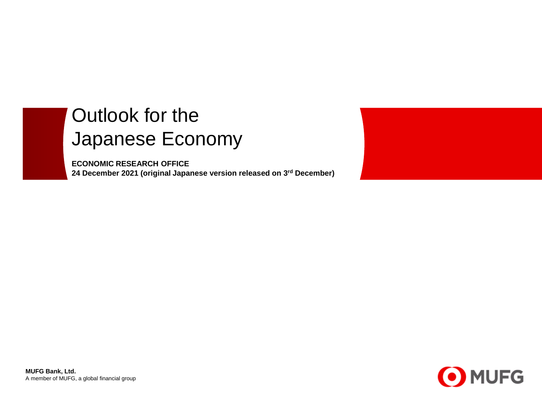# Outlook for the Japanese Economy

**ECONOMIC RESEARCH OFFICE 24 December 2021 (original Japanese version released on 3rd December)**





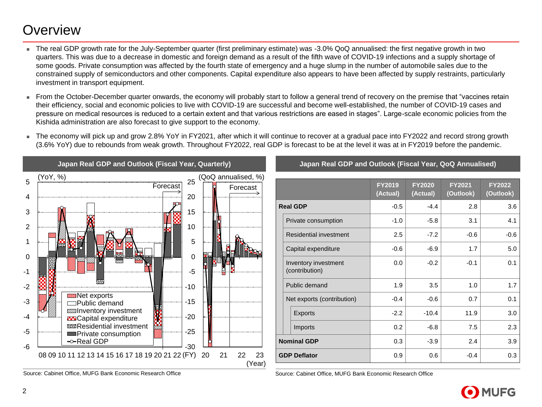### **Overview**

- The real GDP growth rate for the July-September quarter (first preliminary estimate) was -3.0% QoQ annualised: the first negative growth in two quarters. This was due to a decrease in domestic and foreign demand as a result of the fifth wave of COVID-19 infections and a supply shortage of some goods. Private consumption was affected by the fourth state of emergency and a huge slump in the number of automobile sales due to the constrained supply of semiconductors and other components. Capital expenditure also appears to have been affected by supply restraints, particularly investment in transport equipment.
- From the October-December quarter onwards, the economy will probably start to follow a general trend of recovery on the premise that "vaccines retain their efficiency, social and economic policies to live with COVID-19 are successful and become well-established, the number of COVID-19 cases and pressure on medical resources is reduced to a certain extent and that various restrictions are eased in stages". Large-scale economic policies from the Kishida administration are also forecast to give support to the economy.
- The economy will pick up and grow 2.8% YoY in FY2021, after which it will continue to recover at a gradual pace into FY2022 and record strong growth (3.6% YoY) due to rebounds from weak growth. Throughout FY2022, real GDP is forecast to be at the level it was at in FY2019 before the pandemic.



Source: Cabinet Office, MUFG Bank Economic Research Office Source: Cabinet Office, MUFG Bank Economic Research Office

#### **Japan Real GDP and Outlook (Fiscal Year, Quarterly) Japan Real GDP and Outlook (Fiscal Year, QoQ Annualised)**

|                    |                                        | <b>FY2019</b><br>(Actual) | <b>FY2020</b><br>(Actual) | <b>FY2021</b><br>(Outlook) | FY2022<br>(Outlook) |  |  |  |
|--------------------|----------------------------------------|---------------------------|---------------------------|----------------------------|---------------------|--|--|--|
| <b>Real GDP</b>    |                                        | $-0.5$                    | $-4.4$                    | 2.8                        | 3.6                 |  |  |  |
|                    | Private consumption                    | $-1.0$                    | $-5.8$                    | 3.1                        | 4.1                 |  |  |  |
|                    | Residential investment                 | 2.5                       | $-7.2$                    | $-0.6$                     | $-0.6$              |  |  |  |
|                    | Capital expenditure                    | $-0.6$                    | $-6.9$                    | 1.7                        | 5.0                 |  |  |  |
|                    | Inventory investment<br>(contribution) | 0.0                       | $-0.2$                    | $-0.1$                     | 0.1                 |  |  |  |
|                    | Public demand                          | 1.9                       | 3.5                       | 1.0                        | 1.7                 |  |  |  |
|                    | Net exports (contribution)             | $-0.4$                    | $-0.6$                    | 0.7                        | 0.1                 |  |  |  |
|                    | <b>Exports</b>                         | $-2.2$                    | $-10.4$                   | 11.9                       | 3.0                 |  |  |  |
|                    | Imports                                | 0.2                       | $-6.8$                    | 7.5                        | 2.3                 |  |  |  |
| <b>Nominal GDP</b> |                                        | 0.3                       | $-3.9$                    | 2.4                        | 3.9                 |  |  |  |
|                    | <b>GDP Deflator</b>                    | 0.9                       | 0.6                       | $-0.4$                     | 0.3                 |  |  |  |

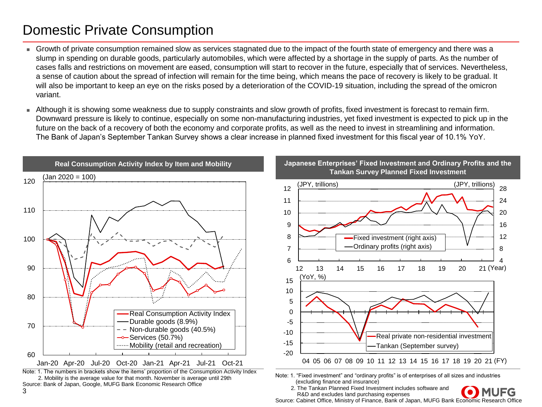## Domestic Private Consumption

- Growth of private consumption remained slow as services stagnated due to the impact of the fourth state of emergency and there was a slump in spending on durable goods, particularly automobiles, which were affected by a shortage in the supply of parts. As the number of cases falls and restrictions on movement are eased, consumption will start to recover in the future, especially that of services. Nevertheless, a sense of caution about the spread of infection will remain for the time being, which means the pace of recovery is likely to be gradual. It will also be important to keep an eye on the risks posed by a deterioration of the COVID-19 situation, including the spread of the omicron variant.
- Although it is showing some weakness due to supply constraints and slow growth of profits, fixed investment is forecast to remain firm. Downward pressure is likely to continue, especially on some non-manufacturing industries, yet fixed investment is expected to pick up in the future on the back of a recovery of both the economy and corporate profits, as well as the need to invest in streamlining and information. The Bank of Japan's September Tankan Survey shows a clear increase in planned fixed investment for this fiscal year of 10.1% YoY.



Source: Cabinet Office, Ministry of Finance, Bank of Japan, MUFG Bank Economic Research Office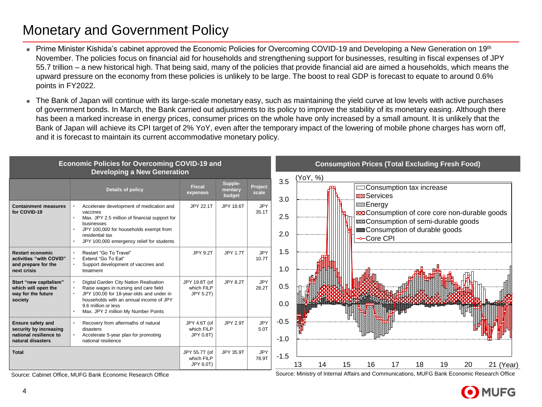# Monetary and Government Policy

- Prime Minister Kishida's cabinet approved the Economic Policies for Overcoming COVID-19 and Developing a New Generation on 19th November. The policies focus on financial aid for households and strengthening support for businesses, resulting in fiscal expenses of JPY 55.7 trillion – a new historical high. That being said, many of the policies that provide financial aid are aimed a households, which means the upward pressure on the economy from these policies is unlikely to be large. The boost to real GDP is forecast to equate to around 0.6% points in FY2022.
- The Bank of Japan will continue with its large-scale monetary easy, such as maintaining the yield curve at low levels with active purchases of government bonds. In March, the Bank carried out adjustments to its policy to improve the stability of its monetary easing. Although there has been a marked increase in energy prices, consumer prices on the whole have only increased by a small amount. It is unlikely that the Bank of Japan will achieve its CPI target of 2% YoY, even after the temporary impact of the lowering of mobile phone charges has worn off, and it is forecast to maintain its current accommodative monetary policy.



Source: Cabinet Office, MUFG Bank Economic Research Office Source: Ministry of Internal Affairs and Communications, MUFG Bank Economic Research Office

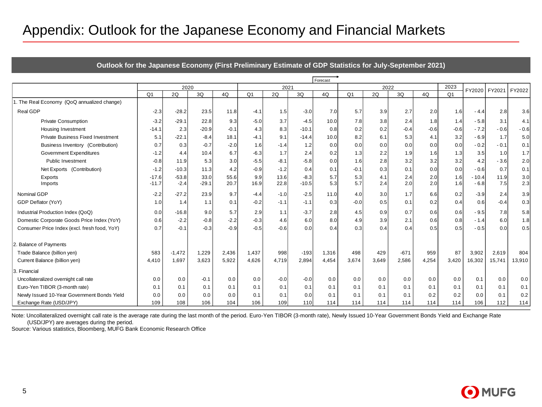### Appendix: Outlook for the Japanese Economy and Financial Markets

| Appendix: Outlook for the Japanese Economy and Financial Markets                                        |                    |                   |                 |              |                |              |                   |            |                |            |            |            |                |                   |             |            |
|---------------------------------------------------------------------------------------------------------|--------------------|-------------------|-----------------|--------------|----------------|--------------|-------------------|------------|----------------|------------|------------|------------|----------------|-------------------|-------------|------------|
|                                                                                                         |                    |                   |                 |              |                |              |                   |            |                |            |            |            |                |                   |             |            |
| Outlook for the Japanese Economy (First Preliminary Estimate of GDP Statistics for July-September 2021) |                    |                   |                 |              |                |              |                   |            |                |            |            |            |                |                   |             |            |
|                                                                                                         | Forecast           |                   |                 |              |                |              |                   |            |                |            |            |            |                |                   |             |            |
|                                                                                                         | 2020               |                   |                 |              | 2021           |              |                   | 2022       |                |            |            | 2023       | FY2020         | FY2021            | FY2022      |            |
| 1. The Real Economy (QoQ annualized change)                                                             | O <sub>1</sub>     | 2Q                | 3Q              | 4Q           | Q <sub>1</sub> | 2Q           | 3Q                | 4Q         | Q <sub>1</sub> | 2Q         | 3Q         | 4Q         | O <sub>1</sub> |                   |             |            |
|                                                                                                         |                    |                   |                 |              |                |              |                   |            |                |            |            |            |                |                   |             |            |
| Real GDP                                                                                                | $-2.3$             | $-28.2$           | 23.5            | 11.8         | $-4.1$         | 1.5          | $-3.0$            | 7.0        | 5.7            | 3.9        | 2.7        | 2.0        | 1.6            | - 4.4             | 2.8         | 3.6        |
| <b>Private Consumption</b>                                                                              | $-3.2$             | $-29.1$           | 22.8            | 9.3          | $-5.0$         | 3.7          | $-4.5$            | 10.0       | 7.8            | 3.8        | 2.4        | 1.8        | 1.4            | $-5.8$            | 3.1         | 4.1        |
| Housing Investment                                                                                      | $-14.1$            | 2.3               | $-20.9$         | $-0.1$       | 4.3            | 8.3          | $-10.1$           | 0.8        | 0.2            | 0.2        | $-0.4$     | $-0.6$     | $-0.6$         | $-7.2$            | $-0.6$      | $-0.6$     |
| <b>Private Business Fixed Investment</b>                                                                | 5.1                | $-22.1$           | $-8.4$          | 18.1         | $-4.1$         | 9.1          | $-14.4$           | 10.0       | 8.2            | 6.1        | 5.3        | 4.1        | 3.2            | $-6.9$            | 1.7         | 5.0        |
| Business Inventory (Contribution)                                                                       | 0.7                | 0.3               | $-0.7$          | $-2.0$       | 1.6            | $-1.4$       | 1.2               | 0.0        | 0.0            | 0.0        | 0.0        | 0.0        | 0.0            | $-0.2$            | - 0.1       | 0.1        |
| <b>Government Expenditures</b>                                                                          | -1.2               | 4.4               | 10.4            | 6.7          | $-6.3$         | 1.7          | 2.4               | 0.2        | 1.3            | 2.2        | 1.9        | 1.6        | 1.3            | 3.5               | 1.0         | 1.7        |
| <b>Public Investment</b>                                                                                | $-0.8$             | 11.9              | 5.3             | 3.0          | $-5.5$         | $-8.1$       | $-5.8$            | 0.0        | 1.6            | 2.8        | 3.2        | 3.2        | 3.2            | 4.2               | $-3.6$      | 2.0        |
| Net Exports (Contribution)                                                                              | $-1.2$             | $-10.3$           | 11.3            | 4.2          | $-0.9$         | $-1.2$       | 0.4               | 0.1        | $-0.1$         | 0.3        | 0.1        | 0.0        | 0.0            | $-0.6$            | 0.7         | 0.1        |
| Exports<br>Imports                                                                                      | $-17.6$<br>$-11.7$ | $-53.8$<br>$-2.4$ | 33.0<br>$-29.1$ | 55.6<br>20.7 | 9.9<br>16.9    | 13.6<br>22.8 | $-8.3$<br>$-10.5$ | 5.7<br>5.3 | 5.3<br>5.7     | 4.1<br>2.4 | 2.4<br>2.0 | 2.0<br>2.0 | 1.6<br>1.6     | $-10.4$<br>$-6.8$ | 11.9<br>7.5 | 3.0<br>2.3 |
| Nominal GDP                                                                                             | -2.2               | $-27.2$           | 23.9            | 9.7          | $-4.4$         | $-1.0$       | $-2.5$            | 11.0       | 4.0            | 3.0        | 1.7        | 6.6        | 0.2            | $-3.9$            | 2.4         | 3.9        |
| GDP Deflator (YoY)                                                                                      | 1.0                | 1.4               | 1.1             | 0.1          | $-0.2$         | $-1.1$       | $-1.1$            | 0.3        | $-0.0$         | 0.5        | 0.1        | 0.2        | 0.4            | 0.6               | $-0.4$      | 0.3        |
| Industrial Production Index (QoQ)                                                                       | 0.0                | $-16.8$           | 9.0             | 5.7          | 2.9            | 1.1          | $-3.7$            | 2.8        | 4.5            | 0.9        | 0.7        | 0.6        | 0.6            | $-9.5$            | 7.8         | 5.8        |
| Domestic Corporate Goods Price Index (YoY)                                                              | 0.6                | $-2.2$            | $-0.8$          | $-2.2$       | $-0.3$         | 4.6          | 6.0               | 8.0        | 4.9            | 3.9        | 2.1        | 0.6        | 0.8            | - 1.4             | 6.0         | 1.8        |
| Consumer Price Index (excl. fresh food, YoY)                                                            | 0.7                | $-0.1$            | $-0.3$          | $-0.9$       | $-0.5$         | $-0.6$       | 0.0               | 0.4        | 0.3            | 0.4        | 0.4        | 0.5        | 0.5            | $-0.5$            | 0.0         | 0.5        |
| 2. Balance of Payments                                                                                  |                    |                   |                 |              |                |              |                   |            |                |            |            |            |                |                   |             |            |
| Trade Balance (billion yen)                                                                             | 583                | $-1,472$          | 1,229           | 2,436        | 1,437          | 998          | $-193$            | 1,316      | 498            | 429        | $-671$     | 959        | 87             | 3,902             | 2,619       | 804        |
| Current Balance (billion yen)                                                                           | 4,410              | 1,697             | 3,623           | 5,922        | 4,626          | 4,719        | 2,894             | 4,454      | 3,674          | 3.649      | 2,586      | 4,254      | 3,420          | 16,302            | 15,741      | 13,910     |
| 3. Financial                                                                                            |                    |                   |                 |              |                |              |                   |            |                |            |            |            |                |                   |             |            |
| Uncollateralized overnight call rate                                                                    | 0.0                | 0.0               | $-0.1$          | 0.0          | 0.0            | $-0.0$       | $-0.0$            | 0.0        | 0.0            | 0.0        | 0.0        | 0.0        | 0.0            | 0.1               | 0.0         | 0.0        |
| Euro-Yen TIBOR (3-month rate)                                                                           | 0.1                | 0.1               | 0.1             | 0.1          | 0.1            | 0.1          | 0.1               | 0.1        | 0.1            | 0.1        | 0.1        | 0.1        | 0.1            | 0.1               | 0.1         | 0.1        |
| Newly Issued 10-Year Government Bonds Yield                                                             | 0.0                | 0.0               | 0.0             | 0.0          | 0.1            | 0.1          | 0.0               | 0.1        | 0.1            | 0.1        | 0.1        | 0.2        | 0.2            | 0.0               | 0.1         | 0.2        |
| Exchange Rate (USD/JPY)                                                                                 | 109                | 108               | 106             | 104          | 106            | 109          | 110               | 114        | 114            | 114        | 114        | 114        | 114            | 106               | 112         | 114        |

Note: Uncollateralized overnight call rate is the average rate during the last month of the period. Euro-Yen TIBOR (3-month rate), Newly Issued 10-Year Government Bonds Yield and Exchange Rate (USD/JPY) are averages during the period.

Source: Various statistics, Bloomberg, MUFG Bank Economic Research Office

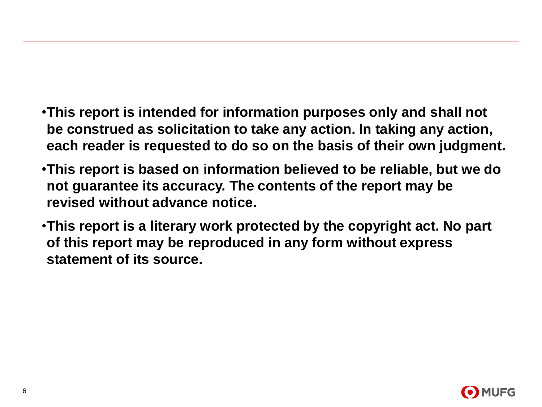- •**This report is intended for information purposes only and shall not be construed as solicitation to take any action. In taking any action, each reader is requested to do so on the basis of their own judgment.**
- •**This report is based on information believed to be reliable, but we do not guarantee its accuracy. The contents of the report may be revised without advance notice.**
- •**This report is a literary work protected by the copyright act. No part of this report may be reproduced in any form without express statement of its source.**